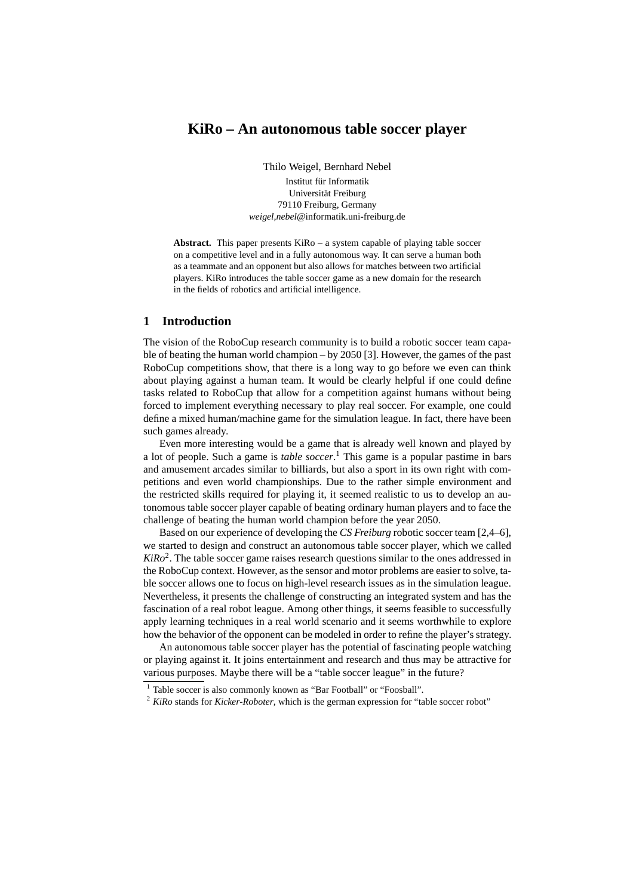# **KiRo – An autonomous table soccer player**

Thilo Weigel, Bernhard Nebel Institut für Informatik Universität Freiburg 79110 Freiburg, Germany *weigel,nebel*@informatik.uni-freiburg.de

**Abstract.** This paper presents KiRo – a system capable of playing table soccer on a competitive level and in a fully autonomous way. It can serve a human both as a teammate and an opponent but also allows for matches between two artificial players. KiRo introduces the table soccer game as a new domain for the research in the fields of robotics and artificial intelligence.

### **1 Introduction**

The vision of the RoboCup research community is to build a robotic soccer team capable of beating the human world champion – by 2050 [3]. However, the games of the past RoboCup competitions show, that there is a long way to go before we even can think about playing against a human team. It would be clearly helpful if one could define tasks related to RoboCup that allow for a competition against humans without being forced to implement everything necessary to play real soccer. For example, one could define a mixed human/machine game for the simulation league. In fact, there have been such games already.

Even more interesting would be a game that is already well known and played by a lot of people. Such a game is *table soccer*. <sup>1</sup> This game is a popular pastime in bars and amusement arcades similar to billiards, but also a sport in its own right with competitions and even world championships. Due to the rather simple environment and the restricted skills required for playing it, it seemed realistic to us to develop an autonomous table soccer player capable of beating ordinary human players and to face the challenge of beating the human world champion before the year 2050.

Based on our experience of developing the *CS Freiburg* robotic soccer team [2,4–6], we started to design and construct an autonomous table soccer player, which we called  $KiRo<sup>2</sup>$ . The table soccer game raises research questions similar to the ones addressed in the RoboCup context. However, asthe sensor and motor problems are easier to solve, table soccer allows one to focus on high-level research issues as in the simulation league. Nevertheless, it presents the challenge of constructing an integrated system and has the fascination of a real robot league. Among other things, it seems feasible to successfully apply learning techniques in a real world scenario and it seems worthwhile to explore how the behavior of the opponent can be modeled in order to refine the player's strategy.

An autonomous table soccer player has the potential of fascinating people watching or playing against it. It joins entertainment and research and thus may be attractive for various purposes. Maybe there will be a "table soccer league" in the future?

<sup>&</sup>lt;sup>1</sup> Table soccer is also commonly known as "Bar Football" or "Foosball".

<sup>2</sup> *KiRo* stands for *Kicker-Roboter*, which is the german expression for "table soccer robot"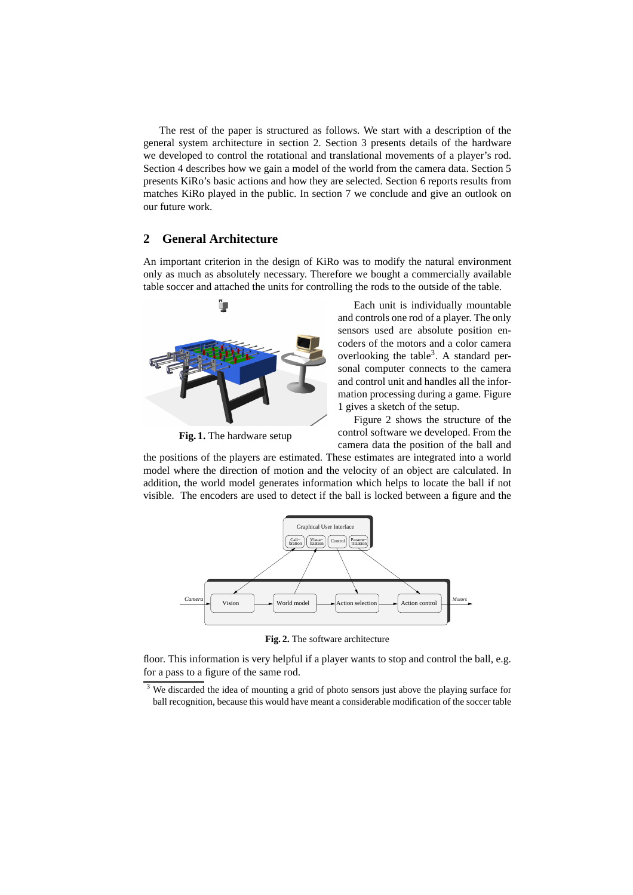The rest of the paper is structured as follows. We start with a description of the general system architecture in section 2. Section 3 presents details of the hardware we developed to control the rotational and translational movements of a player's rod. Section 4 describes how we gain a model of the world from the camera data. Section 5 presents KiRo's basic actions and how they are selected. Section 6 reports results from matches KiRo played in the public. In section 7 we conclude and give an outlook on our future work.

## **2 General Architecture**

An important criterion in the design of KiRo was to modify the natural environment only as much as absolutely necessary. Therefore we bought a commercially available table soccer and attached the units for controlling the rods to the outside of the table.



**Fig. 1.** The hardware setup

Each unit is individually mountable and controls one rod of a player. The only sensors used are absolute position encoders of the motors and a color camera overlooking the table<sup>3</sup>. A standard personal computer connects to the camera and control unit and handles all the information processing during a game. Figure 1 gives a sketch of the setup.

Figure 2 shows the structure of the control software we developed. From the camera data the position of the ball and

the positions of the players are estimated. These estimates are integrated into a world model where the direction of motion and the velocity of an object are calculated. In addition, the world model generates information which helps to locate the ball if not visible. The encoders are used to detect if the ball is locked between a figure and the



**Fig. 2.** The software architecture

floor. This information is very helpful if a player wants to stop and control the ball, e.g. for a pass to a figure of the same rod.

<sup>&</sup>lt;sup>3</sup> We discarded the idea of mounting a grid of photo sensors just above the playing surface for ball recognition, because this would have meant a considerable modification of the soccer table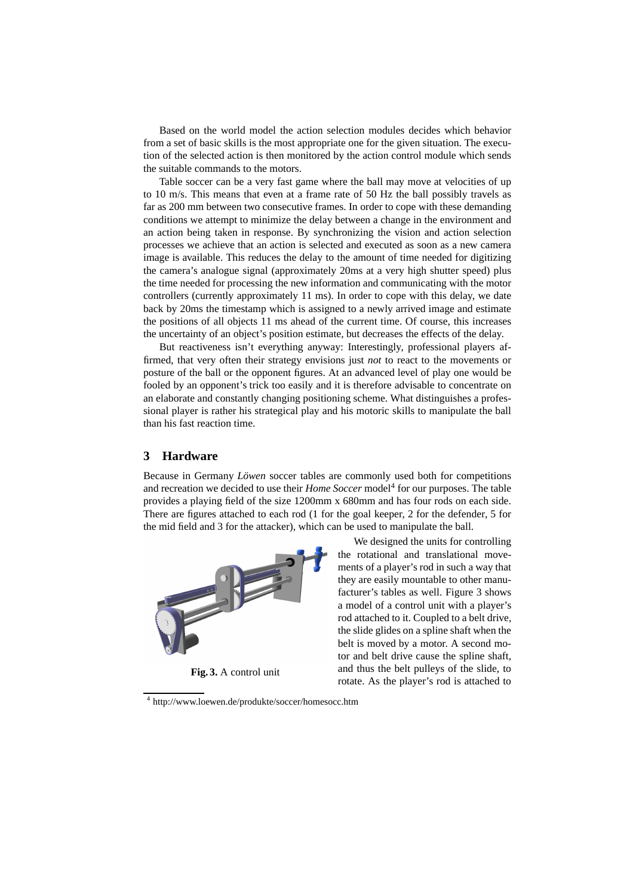Based on the world model the action selection modules decides which behavior from a set of basic skills is the most appropriate one for the given situation. The execution of the selected action is then monitored by the action control module which sends the suitable commands to the motors.

Table soccer can be a very fast game where the ball may move at velocities of up to 10 m/s. This means that even at a frame rate of 50 Hz the ball possibly travels as far as 200 mm between two consecutive frames. In order to cope with these demanding conditions we attempt to minimize the delay between a change in the environment and an action being taken in response. By synchronizing the vision and action selection processes we achieve that an action is selected and executed as soon as a new camera image is available. This reduces the delay to the amount of time needed for digitizing the camera's analogue signal (approximately 20ms at a very high shutter speed) plus the time needed for processing the new information and communicating with the motor controllers (currently approximately 11 ms). In order to cope with this delay, we date back by 20ms the timestamp which is assigned to a newly arrived image and estimate the positions of all objects 11 ms ahead of the current time. Of course, this increases the uncertainty of an object's position estimate, but decreases the effects of the delay.

But reactiveness isn't everything anyway: Interestingly, professional players affirmed, that very often their strategy envisions just *not* to react to the movements or posture of the ball or the opponent figures. At an advanced level of play one would be fooled by an opponent's trick too easily and it is therefore advisable to concentrate on an elaborate and constantly changing positioning scheme. What distinguishes a professional player is rather his strategical play and his motoric skills to manipulate the ball than his fast reaction time.

### **3 Hardware**

Because in Germany *Löwen* soccer tables are commonly used both for competitions and recreation we decided to use their *Home Soccer* model<sup>4</sup> for our purposes. The table provides a playing field of the size 1200mm x 680mm and has four rods on each side. There are figures attached to each rod (1 for the goal keeper, 2 for the defender, 5 for the mid field and 3 for the attacker), which can be used to manipulate the ball.



**Fig. 3.** A control unit

We designed the units for controlling the rotational and translational movements of a player's rod in such a way that they are easily mountable to other manufacturer's tables as well. Figure 3 shows a model of a control unit with a player's rod attached to it. Coupled to a belt drive, the slide glides on a spline shaft when the belt is moved by a motor. A second motor and belt drive cause the spline shaft, and thus the belt pulleys of the slide, to rotate. As the player's rod is attached to

4 http://www.loewen.de/produkte/soccer/homesocc.htm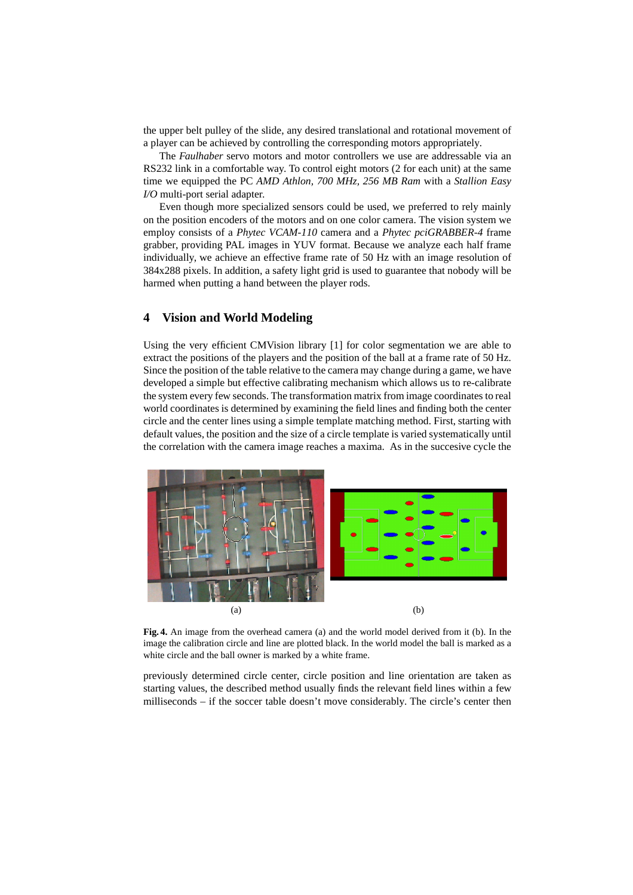the upper belt pulley of the slide, any desired translational and rotational movement of a player can be achieved by controlling the corresponding motors appropriately.

The *Faulhaber* servo motors and motor controllers we use are addressable via an RS232 link in a comfortable way. To control eight motors (2 for each unit) at the same time we equipped the PC *AMD Athlon, 700 MHz, 256 MB Ram* with a *Stallion Easy I/O* multi-port serial adapter.

Even though more specialized sensors could be used, we preferred to rely mainly on the position encoders of the motors and on one color camera. The vision system we employ consists of a *Phytec VCAM-110* camera and a *Phytec pciGRABBER-4* frame grabber, providing PAL images in YUV format. Because we analyze each half frame individually, we achieve an effective frame rate of 50 Hz with an image resolution of 384x288 pixels. In addition, a safety light grid is used to guarantee that nobody will be harmed when putting a hand between the player rods.

#### **4 Vision and World Modeling**

Using the very efficient CMVision library [1] for color segmentation we are able to extract the positions of the players and the position of the ball at a frame rate of 50 Hz. Since the position of the table relative to the camera may change during a game, we have developed a simple but effective calibrating mechanism which allows us to re-calibrate the system every few seconds. The transformation matrix from image coordinates to real world coordinates is determined by examining the field lines and finding both the center circle and the center lines using a simple template matching method. First, starting with default values, the position and the size of a circle template is varied systematically until the correlation with the camera image reaches a maxima. As in the succesive cycle the



**Fig. 4.** An image from the overhead camera (a) and the world model derived from it (b). In the image the calibration circle and line are plotted black. In the world model the ball is marked as a white circle and the ball owner is marked by a white frame.

previously determined circle center, circle position and line orientation are taken as starting values, the described method usually finds the relevant field lines within a few milliseconds – if the soccer table doesn't move considerably. The circle's center then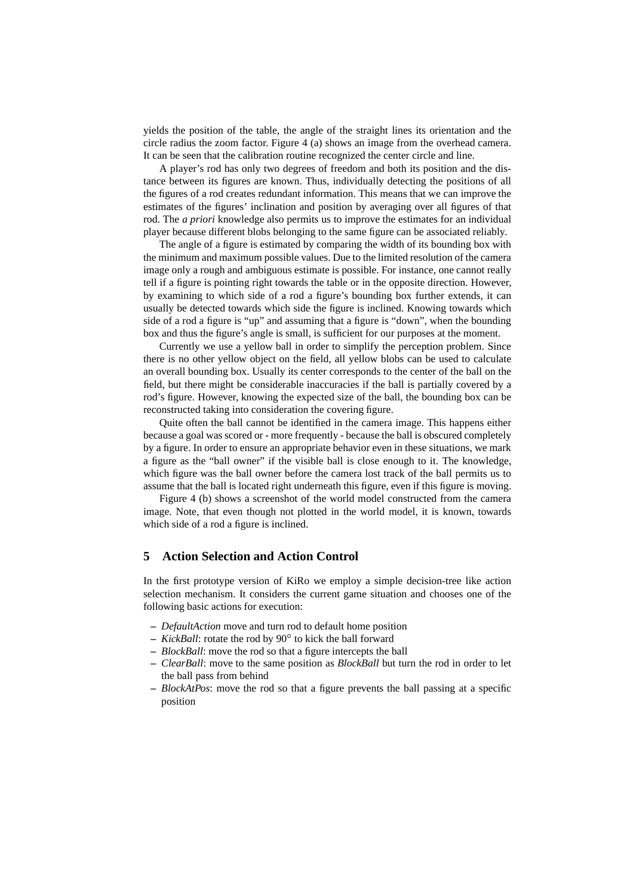yields the position of the table, the angle of the straight lines its orientation and the circle radius the zoom factor. Figure 4 (a) shows an image from the overhead camera. It can be seen that the calibration routine recognized the center circle and line.

A player's rod has only two degrees of freedom and both its position and the distance between its figures are known. Thus, individually detecting the positions of all the figures of a rod creates redundant information. This means that we can improve the estimates of the figures' inclination and position by averaging over all figures of that rod. The *a priori* knowledge also permits us to improve the estimates for an individual player because different blobs belonging to the same figure can be associated reliably.

The angle of a figure is estimated by comparing the width of its bounding box with the minimum and maximum possible values. Due to the limited resolution of the camera image only a rough and ambiguous estimate is possible. For instance, one cannot really tell if a figure is pointing right towards the table or in the opposite direction. However, by examining to which side of a rod a figure's bounding box further extends, it can usually be detected towards which side the figure is inclined. Knowing towards which side of a rod a figure is "up" and assuming that a figure is "down", when the bounding box and thus the figure's angle is small, is sufficient for our purposes at the moment.

Currently we use a yellow ball in order to simplify the perception problem. Since there is no other yellow object on the field, all yellow blobs can be used to calculate an overall bounding box. Usually its center corresponds to the center of the ball on the field, but there might be considerable inaccuracies if the ball is partially covered by a rod's figure. However, knowing the expected size of the ball, the bounding box can be reconstructed taking into consideration the covering figure.

Quite often the ball cannot be identified in the camera image. This happens either because a goal was scored or - more frequently - because the ball is obscured completely by a figure. In order to ensure an appropriate behavior even in these situations, we mark a figure as the "ball owner" if the visible ball is close enough to it. The knowledge, which figure was the ball owner before the camera lost track of the ball permits us to assume that the ball is located right underneath this figure, even if this figure is moving.

Figure 4 (b) shows a screenshot of the world model constructed from the camera image. Note, that even though not plotted in the world model, it is known, towards which side of a rod a figure is inclined.

# **5 Action Selection and Action Control**

In the first prototype version of KiRo we employ a simple decision-tree like action selection mechanism. It considers the current game situation and chooses one of the following basic actions for execution:

- **–** *DefaultAction* move and turn rod to default home position
- *KickBall*: rotate the rod by 90° to kick the ball forward
- **–** *BlockBall*: move the rod so that a figure intercepts the ball
- **–** *ClearBall*: move to the same position as *BlockBall* but turn the rod in order to let the ball pass from behind
- **–** *BlockAtPos*: move the rod so that a figure prevents the ball passing at a specific position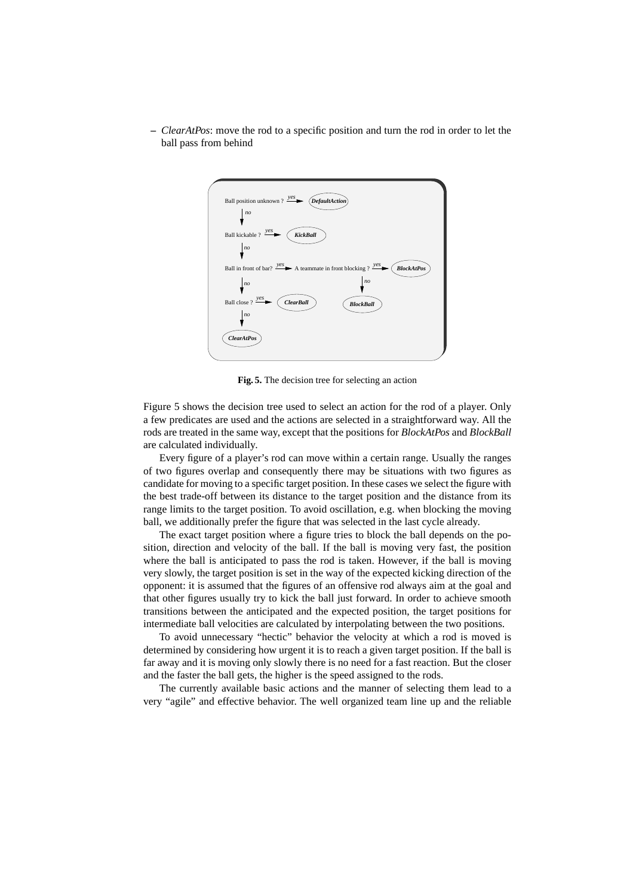**–** *ClearAtPos*: move the rod to a specific position and turn the rod in order to let the ball pass from behind



**Fig. 5.** The decision tree for selecting an action

Figure 5 shows the decision tree used to select an action for the rod of a player. Only a few predicates are used and the actions are selected in a straightforward way. All the rods are treated in the same way, except that the positions for *BlockAtPos* and *BlockBall* are calculated individually.

Every figure of a player's rod can move within a certain range. Usually the ranges of two figures overlap and consequently there may be situations with two figures as candidate for moving to a specific target position. In these cases we select the figure with the best trade-off between its distance to the target position and the distance from its range limits to the target position. To avoid oscillation, e.g. when blocking the moving ball, we additionally prefer the figure that was selected in the last cycle already.

The exact target position where a figure tries to block the ball depends on the position, direction and velocity of the ball. If the ball is moving very fast, the position where the ball is anticipated to pass the rod is taken. However, if the ball is moving very slowly, the target position is set in the way of the expected kicking direction of the opponent: it is assumed that the figures of an offensive rod always aim at the goal and that other figures usually try to kick the ball just forward. In order to achieve smooth transitions between the anticipated and the expected position, the target positions for intermediate ball velocities are calculated by interpolating between the two positions.

To avoid unnecessary "hectic" behavior the velocity at which a rod is moved is determined by considering how urgent it is to reach a given target position. If the ball is far away and it is moving only slowly there is no need for a fast reaction. But the closer and the faster the ball gets, the higher is the speed assigned to the rods.

The currently available basic actions and the manner of selecting them lead to a very "agile" and effective behavior. The well organized team line up and the reliable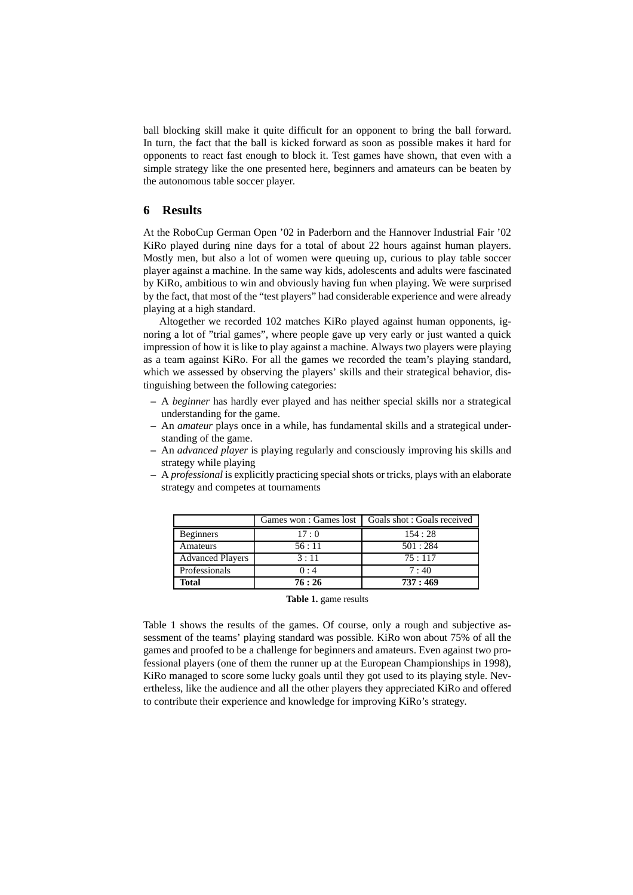ball blocking skill make it quite difficult for an opponent to bring the ball forward. In turn, the fact that the ball is kicked forward as soon as possible makes it hard for opponents to react fast enough to block it. Test games have shown, that even with a simple strategy like the one presented here, beginners and amateurs can be beaten by the autonomous table soccer player.

#### **6 Results**

At the RoboCup German Open '02 in Paderborn and the Hannover Industrial Fair '02 KiRo played during nine days for a total of about 22 hours against human players. Mostly men, but also a lot of women were queuing up, curious to play table soccer player against a machine. In the same way kids, adolescents and adults were fascinated by KiRo, ambitious to win and obviously having fun when playing. We were surprised by the fact, that most of the "test players" had considerable experience and were already playing at a high standard.

Altogether we recorded 102 matches KiRo played against human opponents, ignoring a lot of "trial games", where people gave up very early or just wanted a quick impression of how it is like to play against a machine. Always two players were playing as a team against KiRo. For all the games we recorded the team's playing standard, which we assessed by observing the players' skills and their strategical behavior, distinguishing between the following categories:

- **–** A *beginner* has hardly ever played and has neither special skills nor a strategical understanding for the game.
- **–** An *amateur* plays once in a while, has fundamental skills and a strategical understanding of the game.
- **–** An *advanced player* is playing regularly and consciously improving his skills and strategy while playing
- **–** A *professional* is explicitly practicing special shots or tricks, plays with an elaborate strategy and competes at tournaments

|                         | Games won: Games lost | Goals shot: Goals received |
|-------------------------|-----------------------|----------------------------|
| <b>Beginners</b>        | 17:0                  | 154:28                     |
| Amateurs                | 56:11                 | 501:284                    |
| <b>Advanced Players</b> | 3:11                  | 75:117                     |
| Professionals           | 0:4                   | 7:40                       |
| Total                   | 76:26                 | 737:469                    |

**Table 1.** game results

Table 1 shows the results of the games. Of course, only a rough and subjective assessment of the teams' playing standard was possible. KiRo won about 75% of all the games and proofed to be a challenge for beginners and amateurs. Even against two professional players (one of them the runner up at the European Championships in 1998), KiRo managed to score some lucky goals until they got used to its playing style. Nevertheless, like the audience and all the other players they appreciated KiRo and offered to contribute their experience and knowledge for improving KiRo's strategy.